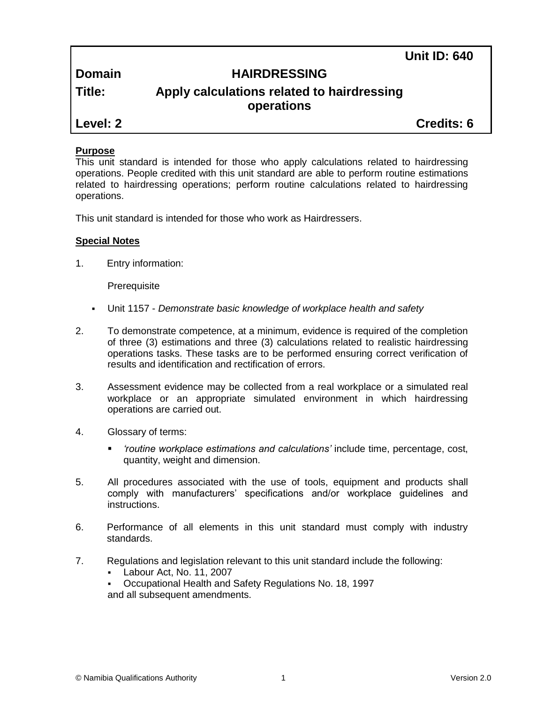**Unit ID: 640**

**Domain HAIRDRESSING**

# **Title: Apply calculations related to hairdressing operations**

**Level: 2 Credits: 6**

# **Purpose**

This unit standard is intended for those who apply calculations related to hairdressing operations. People credited with this unit standard are able to perform routine estimations related to hairdressing operations; perform routine calculations related to hairdressing operations.

This unit standard is intended for those who work as Hairdressers.

# **Special Notes**

1. Entry information:

**Prerequisite** 

- Unit 1157 *Demonstrate basic knowledge of workplace health and safety*
- 2. To demonstrate competence, at a minimum, evidence is required of the completion of three (3) estimations and three (3) calculations related to realistic hairdressing operations tasks. These tasks are to be performed ensuring correct verification of results and identification and rectification of errors.
- 3. Assessment evidence may be collected from a real workplace or a simulated real workplace or an appropriate simulated environment in which hairdressing operations are carried out.
- 4. Glossary of terms:
	- *'routine workplace estimations and calculations'* include time, percentage, cost, quantity, weight and dimension.
- 5. All procedures associated with the use of tools, equipment and products shall comply with manufacturers' specifications and/or workplace guidelines and instructions.
- 6. Performance of all elements in this unit standard must comply with industry standards.
- 7. Regulations and legislation relevant to this unit standard include the following:
	- Labour Act, No. 11, 2007
	- Occupational Health and Safety Regulations No. 18, 1997 and all subsequent amendments.